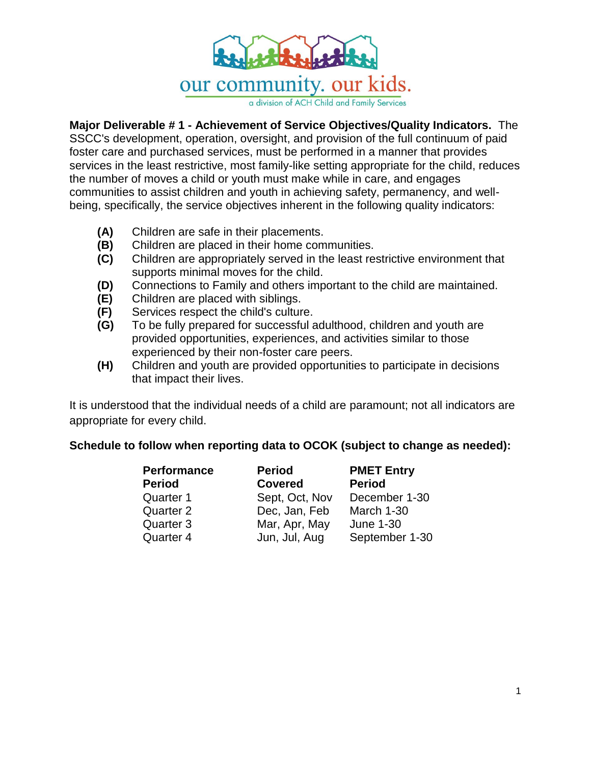

a division of ACH Child and Family Services

## **Major Deliverable # 1 - Achievement of Service Objectives/Quality Indicators.** The

SSCC's development, operation, oversight, and provision of the full continuum of paid foster care and purchased services, must be performed in a manner that provides services in the least restrictive, most family-like setting appropriate for the child, reduces the number of moves a child or youth must make while in care, and engages communities to assist children and youth in achieving safety, permanency, and wellbeing, specifically, the service objectives inherent in the following quality indicators:

- **(A)** Children are safe in their placements.
- **(B)** Children are placed in their home communities.
- **(C)** Children are appropriately served in the least restrictive environment that supports minimal moves for the child.
- **(D)** Connections to Family and others important to the child are maintained.
- **(E)** Children are placed with siblings.
- **(F)** Services respect the child's culture.
- **(G)** To be fully prepared for successful adulthood, children and youth are provided opportunities, experiences, and activities similar to those experienced by their non-foster care peers.
- **(H)** Children and youth are provided opportunities to participate in decisions that impact their lives.

It is understood that the individual needs of a child are paramount; not all indicators are appropriate for every child.

## **Schedule to follow when reporting data to OCOK (subject to change as needed):**

| <b>Performance</b><br><b>Period</b> | <b>Period</b><br><b>Covered</b> | <b>PMET Entry</b><br><b>Period</b> |
|-------------------------------------|---------------------------------|------------------------------------|
|                                     |                                 |                                    |
| Quarter 2                           | Dec, Jan, Feb                   | March 1-30                         |
| Quarter 3                           | Mar, Apr, May                   | <b>June 1-30</b>                   |
| Quarter 4                           | Jun, Jul, Aug                   | September 1-30                     |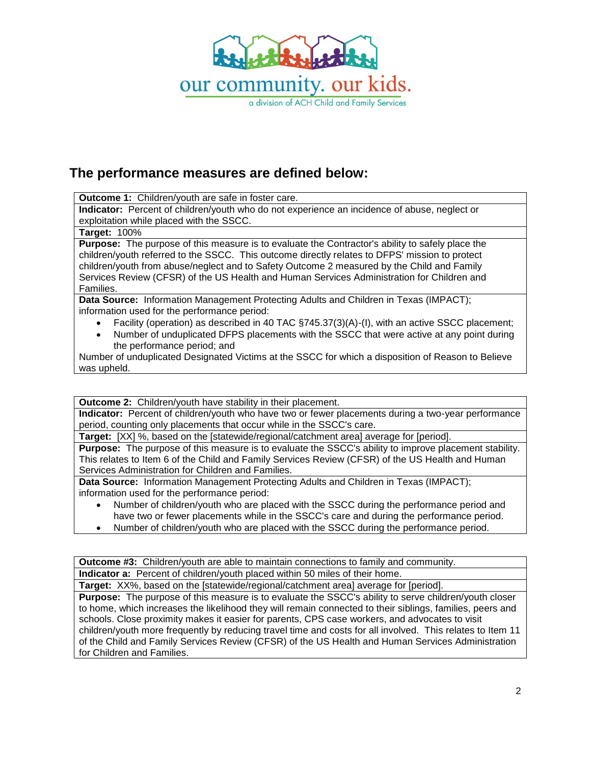

# **The performance measures are defined below:**

**Outcome 1:** Children/youth are safe in foster care.

**Indicator:** Percent of children/youth who do not experience an incidence of abuse, neglect or exploitation while placed with the SSCC.

#### **Target:** 100%

**Purpose:** The purpose of this measure is to evaluate the Contractor's ability to safely place the children/youth referred to the SSCC. This outcome directly relates to DFPS' mission to protect children/youth from abuse/neglect and to Safety Outcome 2 measured by the Child and Family Services Review (CFSR) of the US Health and Human Services Administration for Children and Families.

**Data Source:** Information Management Protecting Adults and Children in Texas (IMPACT); information used for the performance period:

- Facility (operation) as described in 40 TAC §745.37(3)(A)-(I), with an active SSCC placement;
- Number of unduplicated DFPS placements with the SSCC that were active at any point during the performance period; and

Number of unduplicated Designated Victims at the SSCC for which a disposition of Reason to Believe was upheld.

**Outcome 2:** Children/youth have stability in their placement.

**Indicator:** Percent of children/youth who have two or fewer placements during a two-year performance period, counting only placements that occur while in the SSCC's care.

**Target:** [XX] %, based on the [statewide/regional/catchment area] average for [period].

**Purpose:** The purpose of this measure is to evaluate the SSCC's ability to improve placement stability. This relates to Item 6 of the Child and Family Services Review (CFSR) of the US Health and Human Services Administration for Children and Families.

**Data Source:** Information Management Protecting Adults and Children in Texas (IMPACT); information used for the performance period:

- Number of children/youth who are placed with the SSCC during the performance period and have two or fewer placements while in the SSCC's care and during the performance period.
- Number of children/youth who are placed with the SSCC during the performance period.

**Outcome #3:** Children/youth are able to maintain connections to family and community. **Indicator a:** Percent of children/youth placed within 50 miles of their home.

**Target:** XX%, based on the [statewide/regional/catchment area] average for [period]. **Purpose:** The purpose of this measure is to evaluate the SSCC's ability to serve children/youth closer to home, which increases the likelihood they will remain connected to their siblings, families, peers and schools. Close proximity makes it easier for parents, CPS case workers, and advocates to visit children/youth more frequently by reducing travel time and costs for all involved. This relates to Item 11 of the Child and Family Services Review (CFSR) of the US Health and Human Services Administration for Children and Families.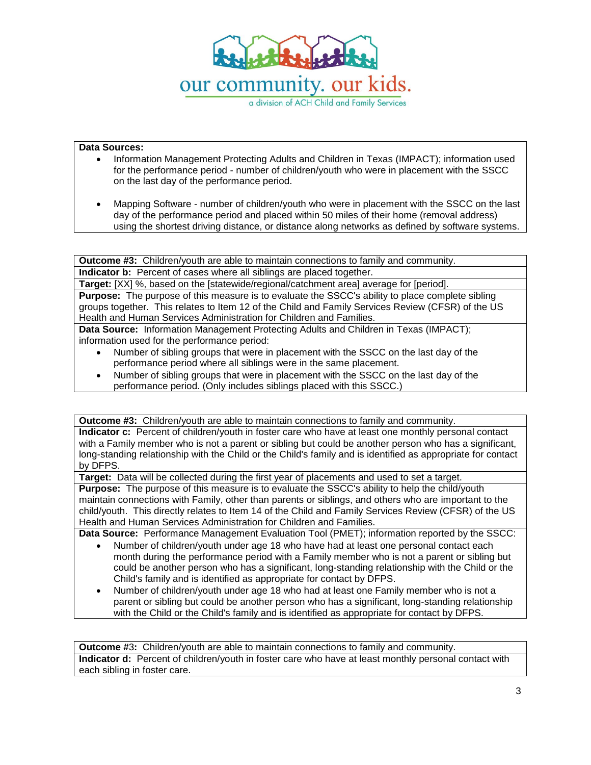

#### **Data Sources:**

- Information Management Protecting Adults and Children in Texas (IMPACT); information used for the performance period - number of children/youth who were in placement with the SSCC on the last day of the performance period.
- Mapping Software number of children/youth who were in placement with the SSCC on the last day of the performance period and placed within 50 miles of their home (removal address) using the shortest driving distance, or distance along networks as defined by software systems.

**Outcome #3:** Children/youth are able to maintain connections to family and community. **Indicator b:** Percent of cases where all siblings are placed together.

**Target:** [XX] %, based on the [statewide/regional/catchment area] average for [period]. **Purpose:** The purpose of this measure is to evaluate the SSCC's ability to place complete sibling groups together. This relates to Item 12 of the Child and Family Services Review (CFSR) of the US Health and Human Services Administration for Children and Families.

**Data Source:** Information Management Protecting Adults and Children in Texas (IMPACT); information used for the performance period:

- Number of sibling groups that were in placement with the SSCC on the last day of the performance period where all siblings were in the same placement.
- Number of sibling groups that were in placement with the SSCC on the last day of the performance period. (Only includes siblings placed with this SSCC.)

**Outcome #3:** Children/youth are able to maintain connections to family and community. **Indicator c:** Percent of children/youth in foster care who have at least one monthly personal contact with a Family member who is not a parent or sibling but could be another person who has a significant, long-standing relationship with the Child or the Child's family and is identified as appropriate for contact by DFPS.

**Target:** Data will be collected during the first year of placements and used to set a target.

**Purpose:** The purpose of this measure is to evaluate the SSCC's ability to help the child/youth maintain connections with Family, other than parents or siblings, and others who are important to the child/youth. This directly relates to Item 14 of the Child and Family Services Review (CFSR) of the US Health and Human Services Administration for Children and Families.

**Data Source:** Performance Management Evaluation Tool (PMET); information reported by the SSCC:

- Number of children/youth under age 18 who have had at least one personal contact each month during the performance period with a Family member who is not a parent or sibling but could be another person who has a significant, long-standing relationship with the Child or the Child's family and is identified as appropriate for contact by DFPS.
- Number of children/youth under age 18 who had at least one Family member who is not a parent or sibling but could be another person who has a significant, long-standing relationship with the Child or the Child's family and is identified as appropriate for contact by DFPS.

**Outcome #**3**:** Children/youth are able to maintain connections to family and community. **Indicator d:** Percent of children/youth in foster care who have at least monthly personal contact with each sibling in foster care.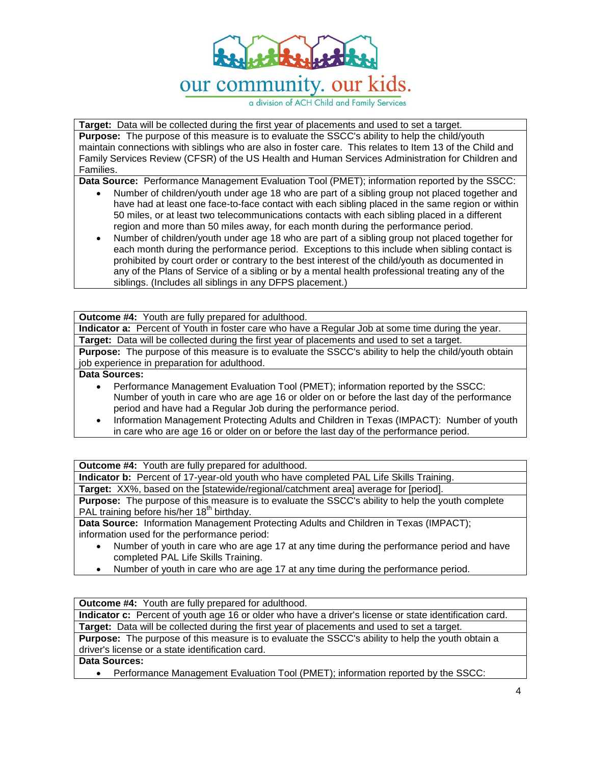

a division of ACH Child and Family Services

**Target:** Data will be collected during the first year of placements and used to set a target.

**Purpose:** The purpose of this measure is to evaluate the SSCC's ability to help the child/youth maintain connections with siblings who are also in foster care. This relates to Item 13 of the Child and Family Services Review (CFSR) of the US Health and Human Services Administration for Children and Families.

**Data Source:** Performance Management Evaluation Tool (PMET); information reported by the SSCC:

- Number of children/youth under age 18 who are part of a sibling group not placed together and have had at least one face-to-face contact with each sibling placed in the same region or within 50 miles, or at least two telecommunications contacts with each sibling placed in a different region and more than 50 miles away, for each month during the performance period.
- Number of children/youth under age 18 who are part of a sibling group not placed together for each month during the performance period. Exceptions to this include when sibling contact is prohibited by court order or contrary to the best interest of the child/youth as documented in any of the Plans of Service of a sibling or by a mental health professional treating any of the siblings. (Includes all siblings in any DFPS placement.)

**Outcome #4:** Youth are fully prepared for adulthood.

**Indicator a:** Percent of Youth in foster care who have a Regular Job at some time during the year. **Target:** Data will be collected during the first year of placements and used to set a target.

**Purpose:** The purpose of this measure is to evaluate the SSCC's ability to help the child/youth obtain job experience in preparation for adulthood.

**Data Sources:** 

- Performance Management Evaluation Tool (PMET); information reported by the SSCC: Number of youth in care who are age 16 or older on or before the last day of the performance period and have had a Regular Job during the performance period.
- Information Management Protecting Adults and Children in Texas (IMPACT): Number of youth in care who are age 16 or older on or before the last day of the performance period.

**Outcome #4:** Youth are fully prepared for adulthood.

**Indicator b:** Percent of 17-year-old youth who have completed PAL Life Skills Training.

**Target:** XX%, based on the [statewide/regional/catchment area] average for [period].

**Purpose:** The purpose of this measure is to evaluate the SSCC's ability to help the youth complete PAL training before his/her 18<sup>th</sup> birthday.

**Data Source:** Information Management Protecting Adults and Children in Texas (IMPACT); information used for the performance period:

- Number of youth in care who are age 17 at any time during the performance period and have completed PAL Life Skills Training.
- Number of youth in care who are age 17 at any time during the performance period.

**Outcome #4:** Youth are fully prepared for adulthood.

**Indicator c:** Percent of youth age 16 or older who have a driver's license or state identification card. **Target:** Data will be collected during the first year of placements and used to set a target.

**Purpose:** The purpose of this measure is to evaluate the SSCC's ability to help the youth obtain a driver's license or a state identification card.

#### **Data Sources:**

Performance Management Evaluation Tool (PMET); information reported by the SSCC: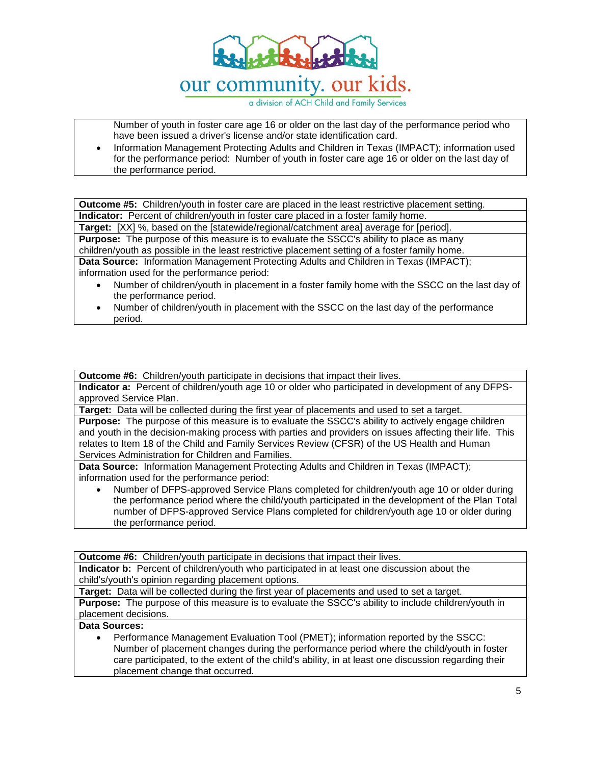

a division of ACH Child and Family Services

Number of youth in foster care age 16 or older on the last day of the performance period who have been issued a driver's license and/or state identification card.

 Information Management Protecting Adults and Children in Texas (IMPACT); information used for the performance period: Number of youth in foster care age 16 or older on the last day of the performance period.

**Outcome #5:** Children/youth in foster care are placed in the least restrictive placement setting. **Indicator:** Percent of children/youth in foster care placed in a foster family home.

**Target:** [XX] %, based on the [statewide/regional/catchment area] average for [period].

**Purpose:** The purpose of this measure is to evaluate the SSCC's ability to place as many children/youth as possible in the least restrictive placement setting of a foster family home.

**Data Source:** Information Management Protecting Adults and Children in Texas (IMPACT); information used for the performance period:

- Number of children/youth in placement in a foster family home with the SSCC on the last day of the performance period.
- Number of children/youth in placement with the SSCC on the last day of the performance period.

**Outcome #6:** Children/youth participate in decisions that impact their lives.

**Indicator a:** Percent of children/youth age 10 or older who participated in development of any DFPSapproved Service Plan.

**Target:** Data will be collected during the first year of placements and used to set a target.

**Purpose:** The purpose of this measure is to evaluate the SSCC's ability to actively engage children and youth in the decision-making process with parties and providers on issues affecting their life. This relates to Item 18 of the Child and Family Services Review (CFSR) of the US Health and Human Services Administration for Children and Families.

**Data Source:** Information Management Protecting Adults and Children in Texas (IMPACT); information used for the performance period:

 Number of DFPS-approved Service Plans completed for children/youth age 10 or older during the performance period where the child/youth participated in the development of the Plan Total number of DFPS-approved Service Plans completed for children/youth age 10 or older during the performance period.

**Outcome #6:** Children/youth participate in decisions that impact their lives.

**Indicator b:** Percent of children/youth who participated in at least one discussion about the child's/youth's opinion regarding placement options.

**Target:** Data will be collected during the first year of placements and used to set a target.

**Purpose:** The purpose of this measure is to evaluate the SSCC's ability to include children/youth in placement decisions.

### **Data Sources:**

 Performance Management Evaluation Tool (PMET); information reported by the SSCC: Number of placement changes during the performance period where the child/youth in foster care participated, to the extent of the child's ability, in at least one discussion regarding their placement change that occurred.